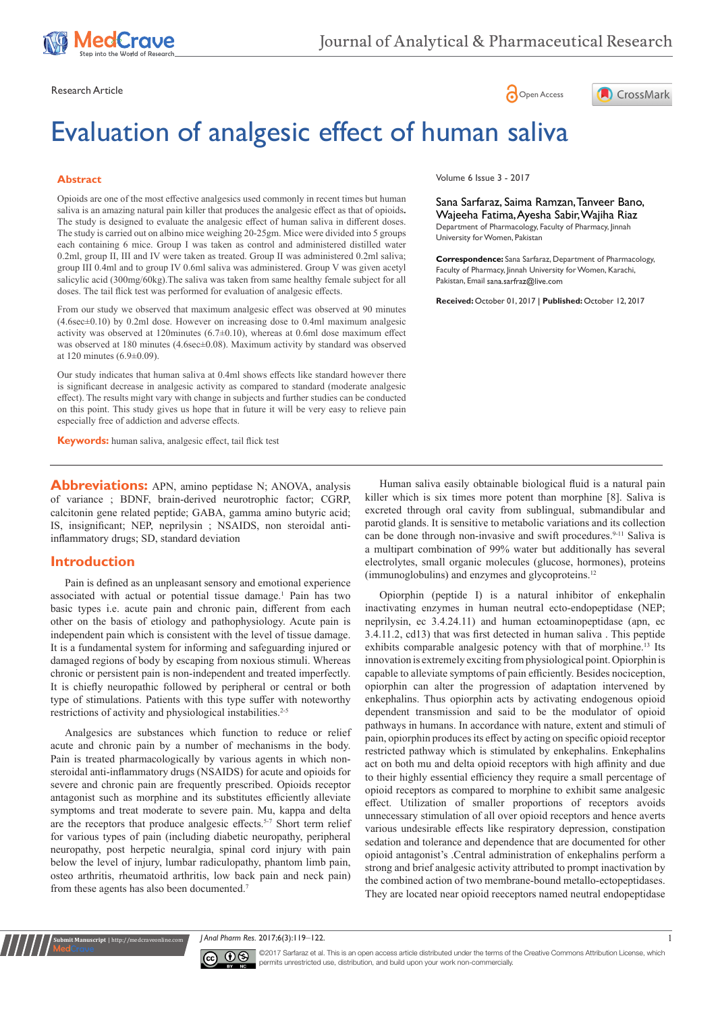





# Evaluation of analgesic effect of human saliva

#### **Abstract**

Opioids are one of the most effective analgesics used commonly in recent times but human saliva is an amazing natural pain killer that produces the analgesic effect as that of opioids**.**  The study is designed to evaluate the analgesic effect of human saliva in different doses. The study is carried out on albino mice weighing 20-25gm. Mice were divided into 5 groups each containing 6 mice. Group I was taken as control and administered distilled water 0.2ml, group II, III and IV were taken as treated. Group II was administered 0.2ml saliva; group III 0.4ml and to group IV 0.6ml saliva was administered. Group V was given acetyl salicylic acid (300mg/60kg).The saliva was taken from same healthy female subject for all doses. The tail flick test was performed for evaluation of analgesic effects.

From our study we observed that maximum analgesic effect was observed at 90 minutes (4.6sec±0.10) by 0.2ml dose. However on increasing dose to 0.4ml maximum analgesic activity was observed at 120minutes (6.7±0.10), whereas at 0.6ml dose maximum effect was observed at 180 minutes (4.6sec±0.08). Maximum activity by standard was observed at 120 minutes (6.9±0.09).

Our study indicates that human saliva at 0.4ml shows effects like standard however there is significant decrease in analgesic activity as compared to standard (moderate analgesic effect). The results might vary with change in subjects and further studies can be conducted on this point. This study gives us hope that in future it will be very easy to relieve pain especially free of addiction and adverse effects.

**Keywords:** human saliva, analgesic effect, tail flick test

**Abbreviations:** APN, amino peptidase N; ANOVA, analysis of variance ; BDNF, brain-derived neurotrophic factor; CGRP, calcitonin gene related peptide; GABA, gamma amino butyric acid; IS, insignificant; NEP, neprilysin ; NSAIDS, non steroidal antiinflammatory drugs; SD, standard deviation

## **Introduction**

Pain is defined as an unpleasant sensory and emotional experience associated with actual or potential tissue damage.<sup>1</sup> Pain has two basic types i.e. acute pain and chronic pain, different from each other on the basis of etiology and pathophysiology. Acute pain is independent pain which is consistent with the level of tissue damage. It is a fundamental system for informing and safeguarding injured or damaged regions of body by escaping from noxious stimuli. Whereas chronic or persistent pain is non-independent and treated imperfectly. It is chiefly neuropathic followed by peripheral or central or both type of stimulations. Patients with this type suffer with noteworthy restrictions of activity and physiological instabilities.<sup>2-5</sup>

Analgesics are substances which function to reduce or relief acute and chronic pain by a number of mechanisms in the body. Pain is treated pharmacologically by various agents in which nonsteroidal anti-inflammatory drugs (NSAIDS) for acute and opioids for severe and chronic pain are frequently prescribed. Opioids receptor antagonist such as morphine and its substitutes efficiently alleviate symptoms and treat moderate to severe pain. Mu, kappa and delta are the receptors that produce analgesic effects.<sup>5-7</sup> Short term relief for various types of pain (including diabetic neuropathy, peripheral neuropathy, post herpetic neuralgia, spinal cord injury with pain below the level of injury, lumbar radiculopathy, phantom limb pain, osteo arthritis, rheumatoid arthritis, low back pain and neck pain) from these agents has also been documented.7

Volume 6 Issue 3 - 2017

Sana Sarfaraz, Saima Ramzan, Tanveer Bano, Wajeeha Fatima, Ayesha Sabir, Wajiha Riaz Department of Pharmacology, Faculty of Pharmacy, Jinnah University for Women, Pakistan

**Correspondence:** Sana Sarfaraz, Department of Pharmacology, Faculty of Pharmacy, Jinnah University for Women, Karachi, Pakistan, Email sana.sarfraz@live.com

**Received:** October 01, 2017 | **Published:** October 12, 2017

Human saliva easily obtainable biological fluid is a natural pain killer which is six times more potent than morphine [8]. Saliva is excreted through oral cavity from sublingual, submandibular and parotid glands. It is sensitive to metabolic variations and its collection can be done through non-invasive and swift procedures.<sup>9-11</sup> Saliva is a multipart combination of 99% water but additionally has several electrolytes, small organic molecules (glucose, hormones), proteins (immunoglobulins) and enzymes and glycoproteins.<sup>12</sup>

Opiorphin (peptide I) is a natural inhibitor of enkephalin inactivating enzymes in human neutral ecto-endopeptidase (NEP; neprilysin, ec 3.4.24.11) and human ectoaminopeptidase (apn, ec 3.4.11.2, cd13) that was first detected in human saliva . This peptide exhibits comparable analgesic potency with that of morphine.<sup>13</sup> Its innovation is extremely exciting from physiological point. Opiorphin is capable to alleviate symptoms of pain efficiently. Besides nociception, opiorphin can alter the progression of adaptation intervened by enkephalins. Thus opiorphin acts by activating endogenous opioid dependent transmission and said to be the modulator of opioid pathways in humans. In accordance with nature, extent and stimuli of pain, opiorphin produces its effect by acting on specific opioid receptor restricted pathway which is stimulated by enkephalins. Enkephalins act on both mu and delta opioid receptors with high affinity and due to their highly essential efficiency they require a small percentage of opioid receptors as compared to morphine to exhibit same analgesic effect. Utilization of smaller proportions of receptors avoids unnecessary stimulation of all over opioid receptors and hence averts various undesirable effects like respiratory depression, constipation sedation and tolerance and dependence that are documented for other opioid antagonist's .Central administration of enkephalins perform a strong and brief analgesic activity attributed to prompt inactivation by the combined action of two membrane-bound metallo-ectopeptidases. They are located near opioid reeceptors named neutral endopeptidase

*J Anal Pharm Res.* 2017;6(3):119‒122. 1



**it Manuscript** | http://medcraveonline.

©2017 Sarfaraz et al. This is an open access article distributed under the terms of the Creative Commons Attribution License, which permits unrestricted use, distribution, and build upon your work non-commercially.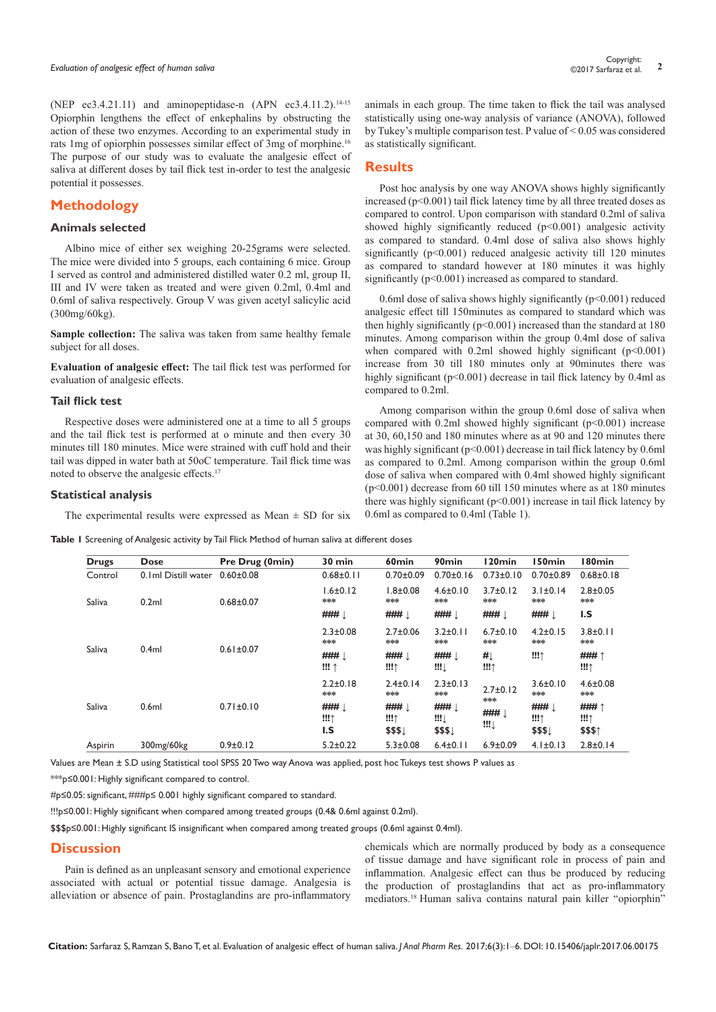(NEP ec3.4.21.11) and aminopeptidase-n  $(APN$  ec3.4.11.2).<sup>14-15</sup> Opiorphin lengthens the effect of enkephalins by obstructing the action of these two enzymes. According to an experimental study in rats 1mg of opiorphin possesses similar effect of 3mg of morphine.<sup>16</sup> The purpose of our study was to evaluate the analgesic effect of saliva at different doses by tail flick test in-order to test the analgesic potential it possesses.

# **Methodology**

#### **Animals selected**

Albino mice of either sex weighing 20-25grams were selected. The mice were divided into 5 groups, each containing 6 mice. Group I served as control and administered distilled water 0.2 ml, group II, III and IV were taken as treated and were given 0.2ml, 0.4ml and 0.6ml of saliva respectively. Group V was given acetyl salicylic acid (300mg/60kg).

Sample collection: The saliva was taken from same healthy female subject for all doses.

**Evaluation of analgesic effect:** The tail flick test was performed for evaluation of analgesic effects.

#### **Tail flick test**

Respective doses were administered one at a time to all 5 groups and the tail flick test is performed at o minute and then every 30 minutes till 180 minutes. Mice were strained with cuff hold and their tail was dipped in water bath at 50oC temperature. Tail flick time was noted to observe the analgesic effects.<sup>17</sup>

#### **Statistical analysis**

The experimental results were expressed as Mean  $\pm$  SD for six

animals in each group. The time taken to flick the tail was analysed statistically using one-way analysis of variance (ANOVA), followed by Tukey's multiple comparison test. P value of < 0.05 was considered as statistically significant.

## **Results**

Post hoc analysis by one way ANOVA shows highly significantly increased  $(p<0.001)$  tail flick latency time by all three treated doses as compared to control. Upon comparison with standard 0.2ml of saliva showed highly significantly reduced  $(p<0.001)$  analgesic activity as compared to standard. 0.4ml dose of saliva also shows highly significantly (p<0.001) reduced analgesic activity till 120 minutes as compared to standard however at 180 minutes it was highly significantly (p<0.001) increased as compared to standard.

0.6ml dose of saliva shows highly significantly  $(p<0.001)$  reduced analgesic effect till 150minutes as compared to standard which was then highly significantly  $(p<0.001)$  increased than the standard at 180 minutes. Among comparison within the group 0.4ml dose of saliva when compared with 0.2ml showed highly significant  $(p<0.001)$ increase from 30 till 180 minutes only at 90minutes there was highly significant (p<0.001) decrease in tail flick latency by 0.4ml as compared to 0.2ml.

Among comparison within the group 0.6ml dose of saliva when compared with 0.2ml showed highly significant  $(p<0.001)$  increase at 30, 60,150 and 180 minutes where as at 90 and 120 minutes there was highly significant ( $p<0.001$ ) decrease in tail flick latency by 0.6ml as compared to 0.2ml. Among comparison within the group 0.6ml dose of saliva when compared with 0.4ml showed highly significant (p<0.001) decrease from 60 till 150 minutes where as at 180 minutes there was highly significant  $(p<0.001)$  increase in tail flick latency by 0.6ml as compared to 0.4ml (Table 1).

**Table 1** Screening of Analgesic activity by Tail Flick Method of human saliva at different doses

| <b>Drugs</b> | <b>Dose</b>         | Pre Drug (0min) | 30 min                                                                   | 60 <sub>min</sub>                                                         | 90 <sub>min</sub>                                                                 | l 20min                                                         | l 50min                                                            | 180 <sub>min</sub>                                      |
|--------------|---------------------|-----------------|--------------------------------------------------------------------------|---------------------------------------------------------------------------|-----------------------------------------------------------------------------------|-----------------------------------------------------------------|--------------------------------------------------------------------|---------------------------------------------------------|
| Control      | 0.1ml Distill water | $0.60 \pm 0.08$ | $0.68 \pm 0.11$                                                          | $0.70 \pm 0.09$                                                           | $0.70 \pm 0.16$                                                                   | $0.73 \pm 0.10$                                                 | $0.70 \pm 0.89$                                                    | $0.68 + 0.18$                                           |
| Saliva       | 0.2ml               | $0.68 + 0.07$   | $1.6 \pm 0.12$<br>***<br>$\#$ ## $\downarrow$                            | $1.8 + 0.08$<br>***<br>$\#$ ##                                            | $4.6 \pm 0.10$<br>***<br>$\#$ ##                                                  | $3.7 \pm 0.12$<br>***<br>$\#$ ###                               | $3.1 \pm 0.14$<br>***<br>$\#$ ###                                  | $2.8 \pm 0.05$<br>***<br>I.S                            |
| Saliva       | 0.4ml               | $0.61 \pm 0.07$ | $2.3 \pm 0.08$<br>***<br>$\#$ ## $\downarrow$<br>$\mathbf{m}$ $\uparrow$ | $2.7 \pm 0.06$<br>***<br>$\#$ ##<br>$\mathbf{m}$                          | $3.2 \pm 0.11$<br>***<br>$\#$ ##<br>$\mathfrak{m}_{\mathsf{L}}$                   | $6.7 \pm 0.10$<br>***<br>#Į<br>$\mathbf{m}$                     | $4.2 \pm 0.15$<br>***<br>$\mathbf{m}$                              | $3.8 \pm 0.11$<br>***<br>### ↑<br>$\mathbf{m}$          |
| Saliva       | 0.6ml               | $0.71 \pm 0.10$ | $2.2 \pm 0.18$<br>***<br>$\#$ ## $\downarrow$<br>$\mathbf{m}$<br>I.S     | $2.4 \pm 0.14$<br>***<br>$\#$ ##<br>$\mathbf{m}$<br>$$$ \$\$ $\downarrow$ | $2.3 \pm 0.13$<br>***<br>$\#$ ##<br>$\mathfrak{m}_{\mathsf{L}}$<br><b>\$\$\$!</b> | $2.7 \pm 0.12$<br>***<br>$\#$ ##<br>$\mathfrak{m}_{\downarrow}$ | $3.6 \pm 0.10$<br>***<br>$\#$ ##<br>$\mathbf{m}$<br><b>\$\$\$!</b> | $4.6 \pm 0.08$<br>***<br>###<br>$\mathbf{m}$<br>\$\$\$↑ |
| Aspirin      | 300mg/60kg          | $0.9 \pm 0.12$  | $5.2 \pm 0.22$                                                           | $5.3 \pm 0.08$                                                            | $6.4 \pm 0.11$                                                                    | $6.9 \pm 0.09$                                                  | $4.1 \pm 0.13$                                                     | $2.8 \pm 0.14$                                          |

Values are Mean ± S.D using Statistical tool SPSS 20 Two way Anova was applied, post hoc Tukeys test shows P values as

\*\*\*p≤0.001: Highly significant compared to control.

#p≤0.05: significant, ###p≤ 0.001 highly significant compared to standard.

!!!p≤0.001: Highly significant when compared among treated groups (0.4& 0.6ml against 0.2ml).

\$\$\$p≤0.001: Highly significant IS insignificant when compared among treated groups (0.6ml against 0.4ml).

## **Discussion**

Pain is defined as an unpleasant sensory and emotional experience associated with actual or potential tissue damage. Analgesia is alleviation or absence of pain. Prostaglandins are pro-inflammatory chemicals which are normally produced by body as a consequence of tissue damage and have significant role in process of pain and inflammation. Analgesic effect can thus be produced by reducing the production of prostaglandins that act as pro-inflammatory mediators.18 Human saliva contains natural pain killer "opiorphin"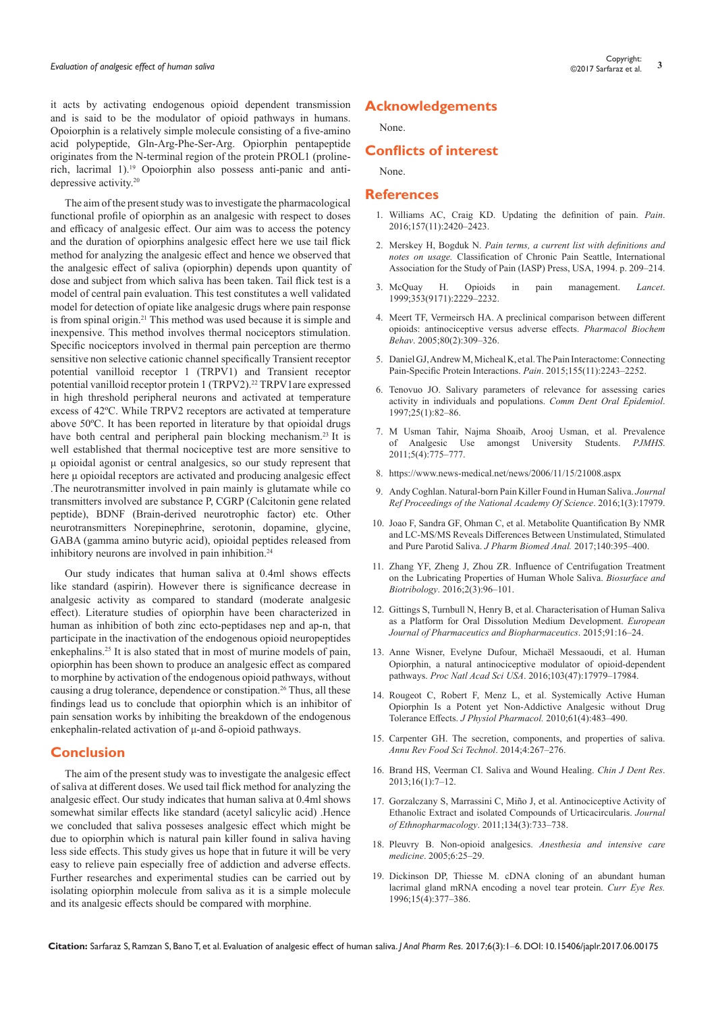it acts by activating endogenous opioid dependent transmission and is said to be the modulator of opioid pathways in humans. Opoiorphin is a relatively simple molecule consisting of a five-amino acid polypeptide, Gln-Arg-Phe-Ser-Arg. Opiorphin pentapeptide originates from the N-terminal region of the protein PROL1 (prolinerich, lacrimal 1).19 Opoiorphin also possess anti-panic and antidepressive activity.<sup>20</sup>

The aim of the present study was to investigate the pharmacological functional profile of opiorphin as an analgesic with respect to doses and efficacy of analgesic effect. Our aim was to access the potency and the duration of opiorphins analgesic effect here we use tail flick method for analyzing the analgesic effect and hence we observed that the analgesic effect of saliva (opiorphin) depends upon quantity of dose and subject from which saliva has been taken. Tail flick test is a model of central pain evaluation. This test constitutes a well validated model for detection of opiate like analgesic drugs where pain response is from spinal origin.21 This method was used because it is simple and inexpensive. This method involves thermal nociceptors stimulation. Specific nociceptors involved in thermal pain perception are thermo sensitive non selective cationic channel specifically Transient receptor potential vanilloid receptor 1 (TRPV1) and Transient receptor potential vanilloid receptor protein 1 (TRPV2).<sup>22</sup> TRPV1are expressed in high threshold peripheral neurons and activated at temperature excess of 42ºC. While TRPV2 receptors are activated at temperature above 50ºC. It has been reported in literature by that opioidal drugs have both central and peripheral pain blocking mechanism.<sup>23</sup> It is well established that thermal nociceptive test are more sensitive to μ opioidal agonist or central analgesics, so our study represent that here μ opioidal receptors are activated and producing analgesic effect .The neurotransmitter involved in pain mainly is glutamate while co transmitters involved are substance P, CGRP (Calcitonin gene related peptide), BDNF (Brain-derived neurotrophic factor) etc. Other neurotransmitters Norepinephrine, serotonin, dopamine, glycine, GABA (gamma amino butyric acid), opioidal peptides released from inhibitory neurons are involved in pain inhibition.<sup>24</sup>

Our study indicates that human saliva at 0.4ml shows effects like standard (aspirin). However there is significance decrease in analgesic activity as compared to standard (moderate analgesic effect). Literature studies of opiorphin have been characterized in human as inhibition of both zinc ecto-peptidases nep and ap-n, that participate in the inactivation of the endogenous opioid neuropeptides enkephalins.25 It is also stated that in most of murine models of pain, opiorphin has been shown to produce an analgesic effect as compared to morphine by activation of the endogenous opioid pathways, without causing a drug tolerance, dependence or constipation.26 Thus, all these findings lead us to conclude that opiorphin which is an inhibitor of pain sensation works by inhibiting the breakdown of the endogenous enkephalin-related activation of μ-and δ-opioid pathways.

## **Conclusion**

The aim of the present study was to investigate the analgesic effect of saliva at different doses. We used tail flick method for analyzing the analgesic effect. Our study indicates that human saliva at 0.4ml shows somewhat similar effects like standard (acetyl salicylic acid) .Hence we concluded that saliva posseses analgesic effect which might be due to opiorphin which is natural pain killer found in saliva having less side effects. This study gives us hope that in future it will be very easy to relieve pain especially free of addiction and adverse effects. Further researches and experimental studies can be carried out by isolating opiorphin molecule from saliva as it is a simple molecule and its analgesic effects should be compared with morphine.

## **Acknowledgements**

None.

# **Conflicts of interest**

None.

#### **References**

- 1. [Williams AC, Craig KD. Updating the definition of pain.](https://www.ncbi.nlm.nih.gov/pubmed/27200490) *Pain*. [2016;157\(11\):2420‒2423.](https://www.ncbi.nlm.nih.gov/pubmed/27200490)
- 2. Merskey H, Bogduk N. *Pain terms, a current list with definitions and notes on usage.* Classification of Chronic Pain Seattle, International Association for the Study of Pain (IASP) Press, USA, 1994. p. 209-214.
- 3. [McQuay H. Opioids in pain management.](http://www.thelancet.com/journals/lancet/article/PIIS014067369903528X/abstract) *Lancet*. [1999;353\(9171\):2229‒2232.](http://www.thelancet.com/journals/lancet/article/PIIS014067369903528X/abstract)
- 4. [Meert TF, Vermeirsch HA. A preclinical comparison between different](https://www.ncbi.nlm.nih.gov/pubmed/15680184)  [opioids: antinociceptive versus adverse effects.](https://www.ncbi.nlm.nih.gov/pubmed/15680184) *Pharmacol Biochem Behav*[. 2005;80\(2\):309‒326.](https://www.ncbi.nlm.nih.gov/pubmed/15680184)
- 5. [Daniel GJ, Andrew M, Micheal K, et al. The Pain Interactome: Connecting](https://www.ncbi.nlm.nih.gov/pubmed/24978826)  [Pain-Specific Protein Interactions.](https://www.ncbi.nlm.nih.gov/pubmed/24978826) *Pain*. 2015;155(11):2243-2252.
- 6. [Tenovuo JO. Salivary parameters of relevance for assessing caries](https://www.ncbi.nlm.nih.gov/pubmed/9088696)  [activity in individuals and populations.](https://www.ncbi.nlm.nih.gov/pubmed/9088696) *Comm Dent Oral Epidemiol*. [1997;25\(1\):82‒86.](https://www.ncbi.nlm.nih.gov/pubmed/9088696)
- 7. [M Usman Tahir, Najma Shoaib, Arooj Usman, et al. Prevalence](http://www.pjmhsonline.com/2011/oct_dec/pdf/nn%20Prevalence%20of%20Analgesic%20Use%20amongst%20University%20Students.pdf)  [of Analgesic Use amongst University Students.](http://www.pjmhsonline.com/2011/oct_dec/pdf/nn%20Prevalence%20of%20Analgesic%20Use%20amongst%20University%20Students.pdf) *PJMHS*. [2011;5\(4\):775‒777.](http://www.pjmhsonline.com/2011/oct_dec/pdf/nn%20Prevalence%20of%20Analgesic%20Use%20amongst%20University%20Students.pdf)
- 8. <https://www.news-medical.net/news/2006/11/15/21008.aspx>
- 9. [Andy Coghlan. Natural-born Pain Killer Found in Human Saliva.](http://www.shaman-australis.com/forum/index.php?/topic/12276-natural-born-painkiller-found-in-human-saliva/) *Journal [Ref Proceedings of the National Academy Of Science](http://www.shaman-australis.com/forum/index.php?/topic/12276-natural-born-painkiller-found-in-human-saliva/)*. 2016;1(3):17979.
- 10. [Joao F, Sandra GF, Ohman C, et al. Metabolite Quantification By NMR](https://www.ncbi.nlm.nih.gov/pubmed/28380387)  [and LC-MS/MS Reveals Differences Between Unstimulated, Stimulated](https://www.ncbi.nlm.nih.gov/pubmed/28380387)  [and Pure Parotid Saliva.](https://www.ncbi.nlm.nih.gov/pubmed/28380387) *J Pharm Biomed Anal.* 2017;140:395-400.
- 11. [Zhang YF, Zheng J, Zhou ZR. Influence of Centrifugation Treatment](http://www.sciencedirect.com/science/article/pii/S2405451816300277)  [on the Lubricating Properties of Human Whole Saliva.](http://www.sciencedirect.com/science/article/pii/S2405451816300277) *Biosurface and Biotribology*[. 2016;2\(3\):96‒101.](http://www.sciencedirect.com/science/article/pii/S2405451816300277)
- 12. [Gittings S, Turnbull N, Henry B, et al. Characterisation of Human Saliva](http://www.sciencedirect.com/science/article/pii/S0939641115000107)  [as a Platform for Oral Dissolution Medium Development.](http://www.sciencedirect.com/science/article/pii/S0939641115000107) *European [Journal of Pharmaceutics and Biopharmaceutics](http://www.sciencedirect.com/science/article/pii/S0939641115000107)*. 2015;91:16‒24.
- 13. [Anne Wisner, Evelyne Dufour, Michaël Messaoudi, et al. Human](https://www.ncbi.nlm.nih.gov/pubmed/17101991)  [Opiorphin, a natural antinociceptive modulator of opioid-dependent](https://www.ncbi.nlm.nih.gov/pubmed/17101991)  pathways. Proc Natl Acad Sci USA. 2016;103(47):17979-17984.
- 14. [Rougeot C, Robert F, Menz L, et al. Systemically Active Human](https://www.ncbi.nlm.nih.gov/pubmed/20814077)  [Opiorphin Is a Potent yet Non-Addictive Analgesic without Drug](https://www.ncbi.nlm.nih.gov/pubmed/20814077)  Tolerance Effects. *J Physiol Pharmacol.* [2010;61\(4\):483‒490.](https://www.ncbi.nlm.nih.gov/pubmed/20814077)
- 15. [Carpenter GH. The secretion, components, and properties of saliva.](https://www.ncbi.nlm.nih.gov/pubmed/23464573)  *[Annu Rev Food Sci Technol](https://www.ncbi.nlm.nih.gov/pubmed/23464573)*. 2014;4:267‒276.
- 16. [Brand HS, Veerman CI. Saliva and Wound Healing.](https://www.ncbi.nlm.nih.gov/pubmed/23878824) *Chin J Dent Res*. [2013;16\(1\):7‒12.](https://www.ncbi.nlm.nih.gov/pubmed/23878824)
- 17. [Gorzalczany S, Marrassini C, Miño J, et al. Antinociceptive Activity of](http://www.sciencedirect.com/science/article/pii/S0378874111000390)  [Ethanolic Extract and isolated Compounds of Urticacircularis.](http://www.sciencedirect.com/science/article/pii/S0378874111000390) *Journal of Ethnopharmacology*[. 2011;134\(3\):733‒738.](http://www.sciencedirect.com/science/article/pii/S0378874111000390)
- 18. Pleuvry B. Non-opioid analgesics. *Anesthesia and intensive care medicine*. 2005;6:25‒29.
- 19. [Dickinson DP, Thiesse M. cDNA cloning of an abundant human](https://www.ncbi.nlm.nih.gov/pubmed/8670737)  [lacrimal gland mRNA encoding a novel tear protein.](https://www.ncbi.nlm.nih.gov/pubmed/8670737) *Curr Eye Res.* [1996;15\(4\):377‒386.](https://www.ncbi.nlm.nih.gov/pubmed/8670737)